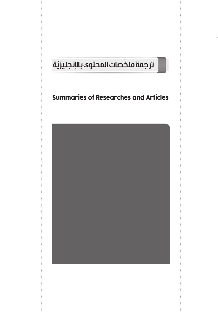## ّة ّ ترجمة ملخصات المحتوى باإلنجليزي

## Summaries of Researches and Articles

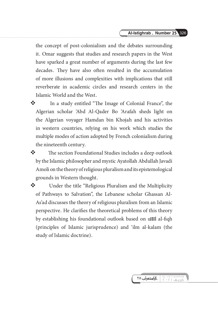the concept of post-colonialism and the debates surrounding it. Omar suggests that studies and research papers in the West have sparked a great number of arguments during the last few decades. They have also often resulted in the accumulation of more illusions and complexities with implications that still reverberate in academic circles and research centers in the Islamic World and the West.

- \* In a study entitled "The Image of Colonial France", the Algerian scholar 'Abd Al-Qader Bo 'Arafah sheds light on the Algerian voyager Hamdan bin Khojah and his activities in western countries, relying on his work which studies the multiple modes of action adopted by French colonialism during the nineteenth century.
- The section Foundational Studies includes a deep outlook by the Islamic philosopher and mystic Ayatollah Abdullah Javadi Amoli on the theory of religious pluralism and its epistemological grounds in Western thought.
- ◆ Under the title "Religious Pluralism and the Multiplicity of Pathways to Salvation", the Lebanese scholar Ghassan Al-As'ad discusses the theory of religious pluralism from an Islamic perspective. He clarifies the theoretical problems of this theory by establishing his foundational outlook based on under al-fiqh (principles of Islamic jurisprudence) and 'ilm al-kalam (the study of Islamic doctrine).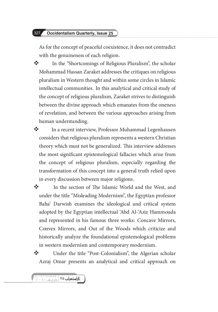## 327 Occidentalism Quarterly, Issue 25

As for the concept of peaceful coexistence, it does not contradict with the genuineness of each religion.

 In the "Shortcomings of Religious Pluralism", the scholar Mohammad Hassan Zaraket addresses the critiques on religious pluralism in Western thought and within some circles in Islamic intellectual communities. In this analytical and critical study of the concept of religious pluralism, Zaraket strives to distinguish between the divine approach which emanates from the oneness of revelation, and between the various approaches arising from human understanding.

**\*** In a recent interview, Professor Muhammad Legenhausen considers that religious pluralism represents a western Christian theory which must not be generalized. This interview addresses the most significant epistemological fallacies which arise from the concept of religious pluralism, especially regarding the transformation of this concept into a general truth relied upon in every discussion between major religions.

**\*** In the section of The Islamic World and the West, and under the title "Misleading Modernism", the Egyptian professor Baha' Darwish examines the ideological and critical system adopted by the Egyptian intellectual 'Abd Al-'Aziz Hammouda and represented in his famous three works: Concave Mirrors, Convex Mirrors, and Out of the Woods which criticize and historically analyze the foundational epistemological problems in western modernism and contemporary modernism.

 Under the title "Post-Colonialism", the Algerian scholar Azraj Omar presents an analytical and critical approach on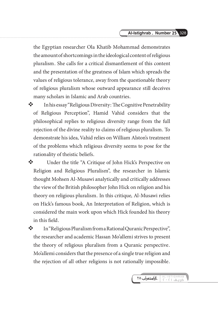the Egyptian researcher Ola Khatib Mohammad demonstrates the amount of shortcomings in the ideological content of religious pluralism. She calls for a critical dismantlement of this content and the presentation of the greatness of Islam which spreads the values of religious tolerance, away from the questionable theory of religious pluralism whose outward appearance still deceives many scholars in Islamic and Arab countries.

 $\mathbf{\hat{\cdot}}$  In his essay "Religious Diversity: The Cognitive Penetrability of Religious Perception", Hamid Vahid considers that the philosophical replies to religious diversity range from the full rejection of the divine reality to claims of religious pluralism. To demonstrate his idea, Vahid relies on William Alston's treatment of the problems which religious diversity seems to pose for the rationality of theistic beliefs.

 Under the title "A Critique of John Hick's Perspective on Religion and Religious Pluralism", the researcher in Islamic thought Mohsen Al-Musawi analytically and critically addresses the view of the British philosopher John Hick on religion and his theory on religious pluralism. In this critique, Al-Musawi relies on Hick's famous book, An Interpretation of Religion, which is considered the main work upon which Hick founded his theory in this field.

 In "Religious Pluralism from a Rational Quranic Perspective", the researcher and academic Hassan Mo'allemi strives to present the theory of religious pluralism from a Quranic perspective. Mo'allemi considers that the presence of a single true religion and the rejection of all other religions is not rationally impossible.